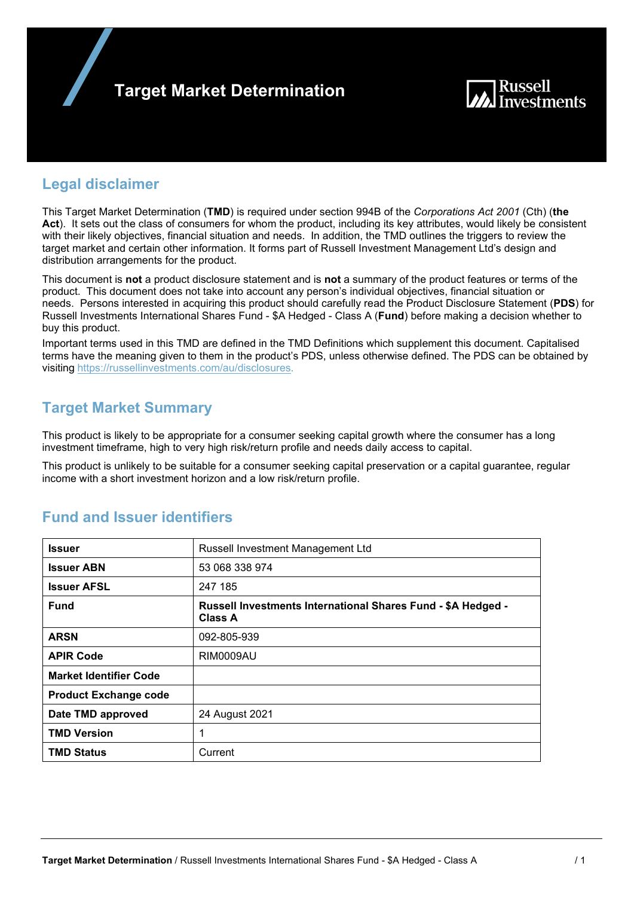



### **Legal disclaimer**

This Target Market Determination (**TMD**) is required under section 994B of the *Corporations Act 2001* (Cth) (**the Act**). It sets out the class of consumers for whom the product, including its key attributes, would likely be consistent with their likely objectives, financial situation and needs. In addition, the TMD outlines the triggers to review the target market and certain other information. It forms part of Russell Investment Management Ltd's design and distribution arrangements for the product.

This document is **not** a product disclosure statement and is **not** a summary of the product features or terms of the product. This document does not take into account any person's individual objectives, financial situation or needs. Persons interested in acquiring this product should carefully read the Product Disclosure Statement (**PDS**) for Russell Investments International Shares Fund - \$A Hedged - Class A (**Fund**) before making a decision whether to buy this product.

Important terms used in this TMD are defined in the TMD Definitions which supplement this document. Capitalised terms have the meaning given to them in the product's PDS, unless otherwise defined. The PDS can be obtained by visiting https://russellinvestments.com/au/disclosures.

### **Target Market Summary**

This product is likely to be appropriate for a consumer seeking capital growth where the consumer has a long investment timeframe, high to very high risk/return profile and needs daily access to capital.

This product is unlikely to be suitable for a consumer seeking capital preservation or a capital guarantee, regular income with a short investment horizon and a low risk/return profile.

| <b>Issuer</b>                 | Russell Investment Management Ltd                                       |
|-------------------------------|-------------------------------------------------------------------------|
| <b>Issuer ABN</b>             | 53 068 338 974                                                          |
| <b>Issuer AFSL</b>            | 247 185                                                                 |
| <b>Fund</b>                   | Russell Investments International Shares Fund - \$A Hedged -<br>Class A |
| <b>ARSN</b>                   | 092-805-939                                                             |
| <b>APIR Code</b>              | RIM0009AU                                                               |
| <b>Market Identifier Code</b> |                                                                         |
| <b>Product Exchange code</b>  |                                                                         |
| Date TMD approved             | 24 August 2021                                                          |
| <b>TMD Version</b>            | 1                                                                       |
| <b>TMD Status</b>             | Current                                                                 |

## **Fund and Issuer identifiers**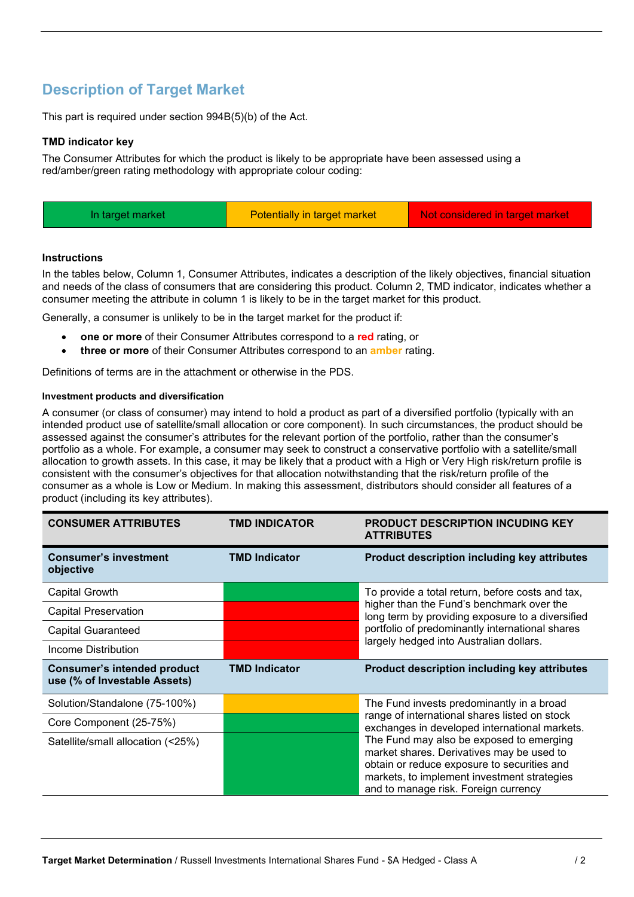# **Description of Target Market**

This part is required under section 994B(5)(b) of the Act.

#### **TMD indicator key**

The Consumer Attributes for which the product is likely to be appropriate have been assessed using a red/amber/green rating methodology with appropriate colour coding:

| Potentially in target market<br>Not considered in target market<br>In target market |  |
|-------------------------------------------------------------------------------------|--|
|-------------------------------------------------------------------------------------|--|

#### **Instructions**

In the tables below, Column 1, Consumer Attributes, indicates a description of the likely objectives, financial situation and needs of the class of consumers that are considering this product. Column 2, TMD indicator, indicates whether a consumer meeting the attribute in column 1 is likely to be in the target market for this product.

Generally, a consumer is unlikely to be in the target market for the product if:

- **one or more** of their Consumer Attributes correspond to a **red** rating, or
- **three or more** of their Consumer Attributes correspond to an **amber** rating.

Definitions of terms are in the attachment or otherwise in the PDS.

#### **Investment products and diversification**

A consumer (or class of consumer) may intend to hold a product as part of a diversified portfolio (typically with an intended product use of satellite/small allocation or core component). In such circumstances, the product should be assessed against the consumer's attributes for the relevant portion of the portfolio, rather than the consumer's portfolio as a whole. For example, a consumer may seek to construct a conservative portfolio with a satellite/small allocation to growth assets. In this case, it may be likely that a product with a High or Very High risk/return profile is consistent with the consumer's objectives for that allocation notwithstanding that the risk/return profile of the consumer as a whole is Low or Medium. In making this assessment, distributors should consider all features of a product (including its key attributes).

| <b>CONSUMER ATTRIBUTES</b>                                         | <b>TMD INDICATOR</b> | <b>PRODUCT DESCRIPTION INCUDING KEY</b><br><b>ATTRIBUTES</b>                                                                                                                                                                |  |
|--------------------------------------------------------------------|----------------------|-----------------------------------------------------------------------------------------------------------------------------------------------------------------------------------------------------------------------------|--|
| <b>Consumer's investment</b><br>objective                          | <b>TMD Indicator</b> | <b>Product description including key attributes</b>                                                                                                                                                                         |  |
| Capital Growth                                                     |                      | To provide a total return, before costs and tax,                                                                                                                                                                            |  |
| <b>Capital Preservation</b>                                        |                      | higher than the Fund's benchmark over the<br>long term by providing exposure to a diversified                                                                                                                               |  |
| <b>Capital Guaranteed</b>                                          |                      | portfolio of predominantly international shares                                                                                                                                                                             |  |
| Income Distribution                                                |                      | largely hedged into Australian dollars.                                                                                                                                                                                     |  |
| <b>Consumer's intended product</b><br>use (% of Investable Assets) | <b>TMD Indicator</b> | <b>Product description including key attributes</b>                                                                                                                                                                         |  |
| Solution/Standalone (75-100%)                                      |                      | The Fund invests predominantly in a broad                                                                                                                                                                                   |  |
| Core Component (25-75%)                                            |                      | range of international shares listed on stock<br>exchanges in developed international markets.                                                                                                                              |  |
| Satellite/small allocation (<25%)                                  |                      | The Fund may also be exposed to emerging<br>market shares. Derivatives may be used to<br>obtain or reduce exposure to securities and<br>markets, to implement investment strategies<br>and to manage risk. Foreign currency |  |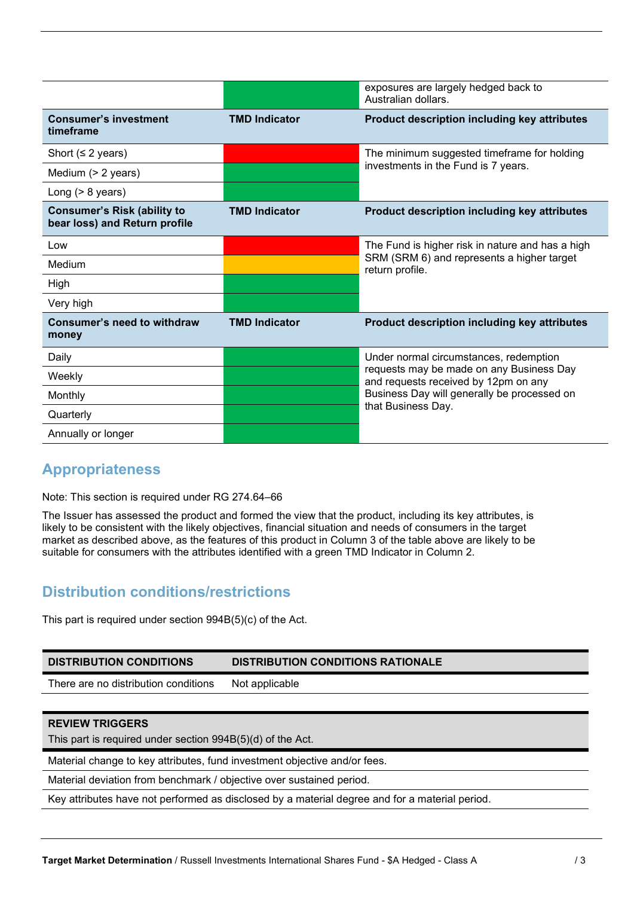|                                                                     |                      | exposures are largely hedged back to<br>Australian dollars.                      |  |
|---------------------------------------------------------------------|----------------------|----------------------------------------------------------------------------------|--|
| <b>Consumer's investment</b><br>timeframe                           | <b>TMD Indicator</b> | <b>Product description including key attributes</b>                              |  |
| Short ( $\leq$ 2 years)                                             |                      | The minimum suggested timeframe for holding                                      |  |
| Medium (> 2 years)                                                  |                      | investments in the Fund is 7 years.                                              |  |
| Long $(> 8$ years)                                                  |                      |                                                                                  |  |
| <b>Consumer's Risk (ability to</b><br>bear loss) and Return profile | <b>TMD Indicator</b> | <b>Product description including key attributes</b>                              |  |
| Low                                                                 |                      | The Fund is higher risk in nature and has a high                                 |  |
| Medium                                                              |                      | SRM (SRM 6) and represents a higher target<br>return profile.                    |  |
| High                                                                |                      |                                                                                  |  |
| Very high                                                           |                      |                                                                                  |  |
| Consumer's need to withdraw<br>money                                | <b>TMD Indicator</b> | <b>Product description including key attributes</b>                              |  |
| Daily                                                               |                      | Under normal circumstances, redemption                                           |  |
| Weekly                                                              |                      | requests may be made on any Business Day<br>and requests received by 12pm on any |  |
| Monthly                                                             |                      | Business Day will generally be processed on                                      |  |
| Quarterly                                                           |                      | that Business Day.                                                               |  |
| Annually or longer                                                  |                      |                                                                                  |  |

## **Appropriateness**

Note: This section is required under RG 274.64–66

The Issuer has assessed the product and formed the view that the product, including its key attributes, is likely to be consistent with the likely objectives, financial situation and needs of consumers in the target market as described above, as the features of this product in Column 3 of the table above are likely to be suitable for consumers with the attributes identified with a green TMD Indicator in Column 2.

## **Distribution conditions/restrictions**

This part is required under section 994B(5)(c) of the Act.

| <b>DISTRIBUTION CONDITIONS</b>       | <b>DISTRIBUTION CONDITIONS RATIONALE</b> |
|--------------------------------------|------------------------------------------|
| There are no distribution conditions | Not applicable                           |
|                                      |                                          |

### **REVIEW TRIGGERS**

This part is required under section 994B(5)(d) of the Act.

Material change to key attributes, fund investment objective and/or fees.

Material deviation from benchmark / objective over sustained period.

Key attributes have not performed as disclosed by a material degree and for a material period.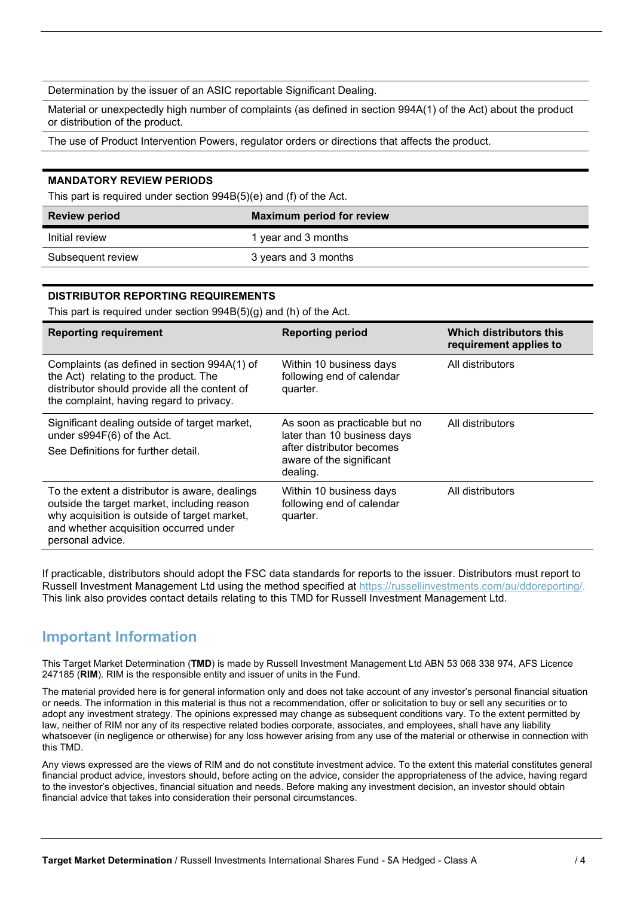Determination by the issuer of an ASIC reportable Significant Dealing.

Material or unexpectedly high number of complaints (as defined in section 994A(1) of the Act) about the product or distribution of the product.

The use of Product Intervention Powers, regulator orders or directions that affects the product.

#### **MANDATORY REVIEW PERIODS**

This part is required under section 994B(5)(e) and (f) of the Act.

| <b>Review period</b> | <b>Maximum period for review</b> |
|----------------------|----------------------------------|
| Initial review       | 1 year and 3 months              |
| Subsequent review    | 3 years and 3 months             |

#### **DISTRIBUTOR REPORTING REQUIREMENTS**

This part is required under section 994B(5)(g) and (h) of the Act.

| <b>Reporting requirement</b>                                                                                                                                                                                | <b>Reporting period</b>                                                                                                           | <b>Which distributors this</b><br>requirement applies to |
|-------------------------------------------------------------------------------------------------------------------------------------------------------------------------------------------------------------|-----------------------------------------------------------------------------------------------------------------------------------|----------------------------------------------------------|
| Complaints (as defined in section 994A(1) of<br>the Act) relating to the product. The<br>distributor should provide all the content of<br>the complaint, having regard to privacy.                          | Within 10 business days<br>following end of calendar<br>quarter.                                                                  | All distributors                                         |
| Significant dealing outside of target market,<br>under s994F(6) of the Act.<br>See Definitions for further detail.                                                                                          | As soon as practicable but no<br>later than 10 business days<br>after distributor becomes<br>aware of the significant<br>dealing. | All distributors                                         |
| To the extent a distributor is aware, dealings<br>outside the target market, including reason<br>why acquisition is outside of target market,<br>and whether acquisition occurred under<br>personal advice. | Within 10 business days<br>following end of calendar<br>quarter.                                                                  | All distributors                                         |

If practicable, distributors should adopt the FSC data standards for reports to the issuer. Distributors must report to Russell Investment Management Ltd using the method specified at https://russellinvestments.com/au/ddoreporting/. This link also provides contact details relating to this TMD for Russell Investment Management Ltd.

### **Important Information**

This Target Market Determination (**TMD**) is made by Russell Investment Management Ltd ABN 53 068 338 974, AFS Licence 247185 (**RIM**). RIM is the responsible entity and issuer of units in the Fund.

The material provided here is for general information only and does not take account of any investor's personal financial situation or needs. The information in this material is thus not a recommendation, offer or solicitation to buy or sell any securities or to adopt any investment strategy. The opinions expressed may change as subsequent conditions vary. To the extent permitted by law, neither of RIM nor any of its respective related bodies corporate, associates, and employees, shall have any liability whatsoever (in negligence or otherwise) for any loss however arising from any use of the material or otherwise in connection with this TMD.

Any views expressed are the views of RIM and do not constitute investment advice. To the extent this material constitutes general financial product advice, investors should, before acting on the advice, consider the appropriateness of the advice, having regard to the investor's objectives, financial situation and needs. Before making any investment decision, an investor should obtain financial advice that takes into consideration their personal circumstances.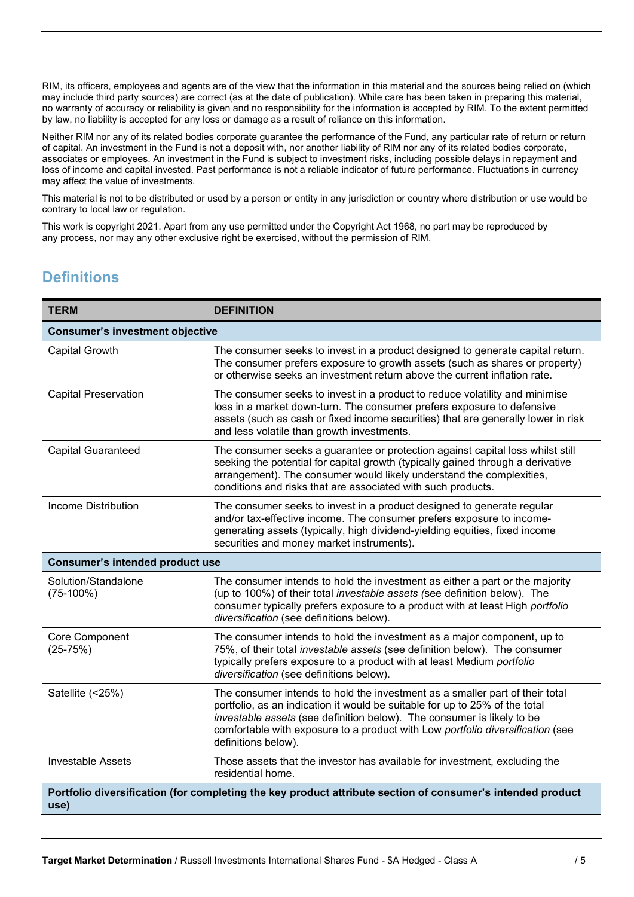RIM, its officers, employees and agents are of the view that the information in this material and the sources being relied on (which may include third party sources) are correct (as at the date of publication). While care has been taken in preparing this material, no warranty of accuracy or reliability is given and no responsibility for the information is accepted by RIM. To the extent permitted by law, no liability is accepted for any loss or damage as a result of reliance on this information.

Neither RIM nor any of its related bodies corporate guarantee the performance of the Fund, any particular rate of return or return of capital. An investment in the Fund is not a deposit with, nor another liability of RIM nor any of its related bodies corporate, associates or employees. An investment in the Fund is subject to investment risks, including possible delays in repayment and loss of income and capital invested. Past performance is not a reliable indicator of future performance. Fluctuations in currency may affect the value of investments.

This material is not to be distributed or used by a person or entity in any jurisdiction or country where distribution or use would be contrary to local law or regulation.

This work is copyright 2021. Apart from any use permitted under the Copyright Act 1968, no part may be reproduced by any process, nor may any other exclusive right be exercised, without the permission of RIM.

### **Definitions**

| <b>TERM</b>                            | <b>DEFINITION</b>                                                                                                                                                                                                                                                                                                                              |  |
|----------------------------------------|------------------------------------------------------------------------------------------------------------------------------------------------------------------------------------------------------------------------------------------------------------------------------------------------------------------------------------------------|--|
| <b>Consumer's investment objective</b> |                                                                                                                                                                                                                                                                                                                                                |  |
| <b>Capital Growth</b>                  | The consumer seeks to invest in a product designed to generate capital return.<br>The consumer prefers exposure to growth assets (such as shares or property)<br>or otherwise seeks an investment return above the current inflation rate.                                                                                                     |  |
| <b>Capital Preservation</b>            | The consumer seeks to invest in a product to reduce volatility and minimise<br>loss in a market down-turn. The consumer prefers exposure to defensive<br>assets (such as cash or fixed income securities) that are generally lower in risk<br>and less volatile than growth investments.                                                       |  |
| <b>Capital Guaranteed</b>              | The consumer seeks a guarantee or protection against capital loss whilst still<br>seeking the potential for capital growth (typically gained through a derivative<br>arrangement). The consumer would likely understand the complexities,<br>conditions and risks that are associated with such products.                                      |  |
| <b>Income Distribution</b>             | The consumer seeks to invest in a product designed to generate regular<br>and/or tax-effective income. The consumer prefers exposure to income-<br>generating assets (typically, high dividend-yielding equities, fixed income<br>securities and money market instruments).                                                                    |  |
| <b>Consumer's intended product use</b> |                                                                                                                                                                                                                                                                                                                                                |  |
| Solution/Standalone<br>$(75-100%)$     | The consumer intends to hold the investment as either a part or the majority<br>(up to 100%) of their total <i>investable assets</i> (see definition below). The<br>consumer typically prefers exposure to a product with at least High portfolio<br>diversification (see definitions below).                                                  |  |
| Core Component<br>$(25-75%)$           | The consumer intends to hold the investment as a major component, up to<br>75%, of their total investable assets (see definition below). The consumer<br>typically prefers exposure to a product with at least Medium portfolio<br>diversification (see definitions below).                                                                    |  |
| Satellite (<25%)                       | The consumer intends to hold the investment as a smaller part of their total<br>portfolio, as an indication it would be suitable for up to 25% of the total<br>investable assets (see definition below). The consumer is likely to be<br>comfortable with exposure to a product with Low portfolio diversification (see<br>definitions below). |  |
| <b>Investable Assets</b>               | Those assets that the investor has available for investment, excluding the<br>residential home.                                                                                                                                                                                                                                                |  |
| use)                                   | Portfolio diversification (for completing the key product attribute section of consumer's intended product                                                                                                                                                                                                                                     |  |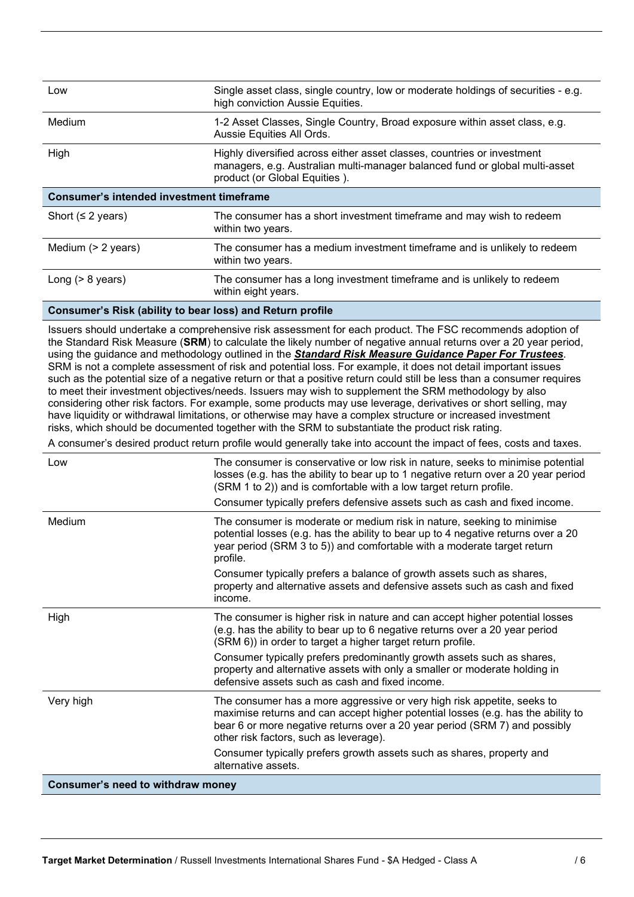| Low                                             | Single asset class, single country, low or moderate holdings of securities - e.g.<br>high conviction Aussie Equities.                                                                   |  |
|-------------------------------------------------|-----------------------------------------------------------------------------------------------------------------------------------------------------------------------------------------|--|
| Medium                                          | 1-2 Asset Classes, Single Country, Broad exposure within asset class, e.g.<br>Aussie Equities All Ords.                                                                                 |  |
| High                                            | Highly diversified across either asset classes, countries or investment<br>managers, e.g. Australian multi-manager balanced fund or global multi-asset<br>product (or Global Equities). |  |
| <b>Consumer's intended investment timeframe</b> |                                                                                                                                                                                         |  |
| Short ( $\leq$ 2 years)                         | The consumer has a short investment timeframe and may wish to redeem<br>within two years.                                                                                               |  |
| Medium $(> 2$ years)                            | The consumer has a medium investment timeframe and is unlikely to redeem<br>within two years.                                                                                           |  |
| Long $(> 8$ years)                              | The consumer has a long investment timeframe and is unlikely to redeem<br>within eight years.                                                                                           |  |
|                                                 |                                                                                                                                                                                         |  |

#### **Consumer's Risk (ability to bear loss) and Return profile**

Issuers should undertake a comprehensive risk assessment for each product. The FSC recommends adoption of the Standard Risk Measure (**SRM**) to calculate the likely number of negative annual returns over a 20 year period, using the guidance and methodology outlined in the *Standard Risk Measure Guidance Paper For Trustees*. SRM is not a complete assessment of risk and potential loss. For example, it does not detail important issues such as the potential size of a negative return or that a positive return could still be less than a consumer requires to meet their investment objectives/needs. Issuers may wish to supplement the SRM methodology by also considering other risk factors. For example, some products may use leverage, derivatives or short selling, may have liquidity or withdrawal limitations, or otherwise may have a complex structure or increased investment risks, which should be documented together with the SRM to substantiate the product risk rating.

A consumer's desired product return profile would generally take into account the impact of fees, costs and taxes.

| Low                               | The consumer is conservative or low risk in nature, seeks to minimise potential<br>losses (e.g. has the ability to bear up to 1 negative return over a 20 year period<br>(SRM 1 to 2)) and is comfortable with a low target return profile.<br>Consumer typically prefers defensive assets such as cash and fixed income. |
|-----------------------------------|---------------------------------------------------------------------------------------------------------------------------------------------------------------------------------------------------------------------------------------------------------------------------------------------------------------------------|
| Medium                            | The consumer is moderate or medium risk in nature, seeking to minimise<br>potential losses (e.g. has the ability to bear up to 4 negative returns over a 20<br>year period (SRM 3 to 5)) and comfortable with a moderate target return<br>profile.                                                                        |
|                                   | Consumer typically prefers a balance of growth assets such as shares,<br>property and alternative assets and defensive assets such as cash and fixed<br>income.                                                                                                                                                           |
| High                              | The consumer is higher risk in nature and can accept higher potential losses<br>(e.g. has the ability to bear up to 6 negative returns over a 20 year period<br>(SRM 6)) in order to target a higher target return profile.                                                                                               |
|                                   | Consumer typically prefers predominantly growth assets such as shares,<br>property and alternative assets with only a smaller or moderate holding in<br>defensive assets such as cash and fixed income.                                                                                                                   |
| Very high                         | The consumer has a more aggressive or very high risk appetite, seeks to<br>maximise returns and can accept higher potential losses (e.g. has the ability to<br>bear 6 or more negative returns over a 20 year period (SRM 7) and possibly<br>other risk factors, such as leverage).                                       |
|                                   | Consumer typically prefers growth assets such as shares, property and<br>alternative assets.                                                                                                                                                                                                                              |
| Consumer's need to withdraw money |                                                                                                                                                                                                                                                                                                                           |